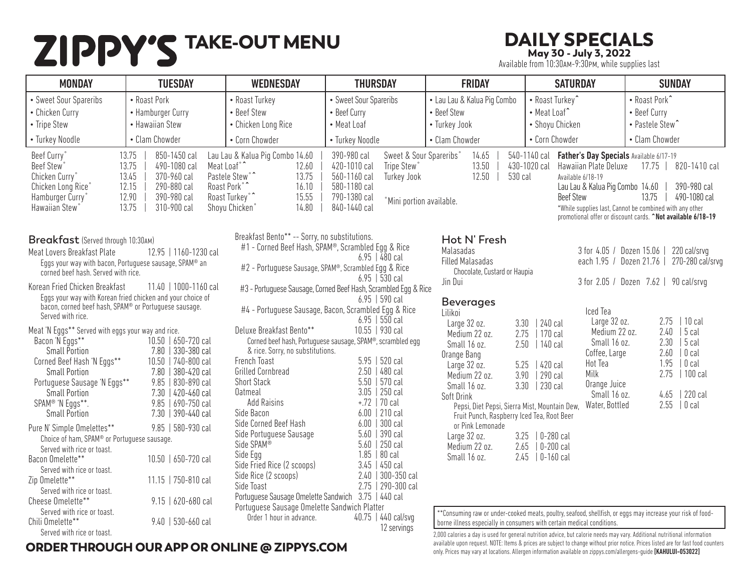# TAKE-OUT MENU DAILY SPECIALS

May 30 - July 3, 2022

Available from 10:30AM-9:30PM, while supplies last

| <b>MONDAY</b>                                                                                                                                                                                                                                                                                                               | <b>TUESDAY</b>                                                                                                                                                                 | <b>WEDNESDAY</b>                                                                                                                                                                                                                                      | <b>THURSDAY</b>                                                                                                                                                                                                                                                                  | <b>FRIDAY</b>                                                                                                                                                                                                                                                                         | <b>SATURDAY</b>                                                                                                                                                                                                                                                                                                  | <b>SUNDAY</b>                                                                                                                                                                          |
|-----------------------------------------------------------------------------------------------------------------------------------------------------------------------------------------------------------------------------------------------------------------------------------------------------------------------------|--------------------------------------------------------------------------------------------------------------------------------------------------------------------------------|-------------------------------------------------------------------------------------------------------------------------------------------------------------------------------------------------------------------------------------------------------|----------------------------------------------------------------------------------------------------------------------------------------------------------------------------------------------------------------------------------------------------------------------------------|---------------------------------------------------------------------------------------------------------------------------------------------------------------------------------------------------------------------------------------------------------------------------------------|------------------------------------------------------------------------------------------------------------------------------------------------------------------------------------------------------------------------------------------------------------------------------------------------------------------|----------------------------------------------------------------------------------------------------------------------------------------------------------------------------------------|
| • Sweet Sour Spareribs<br>• Chicken Curry<br>• Tripe Stew                                                                                                                                                                                                                                                                   | • Roast Pork<br>• Hamburger Curry<br>• Hawaiian Stew                                                                                                                           | • Roast Turkey<br>• Beef Stew<br>• Chicken Long Rice                                                                                                                                                                                                  | • Sweet Sour Spareribs<br>• Beef Curry<br>• Meat Loaf                                                                                                                                                                                                                            | • Lau Lau & Kalua Pig Combo<br>• Beef Stew<br>• Turkey Jook                                                                                                                                                                                                                           | • Roast Turkey^<br>• Meat Loaf<br>• Shoyu Chicken                                                                                                                                                                                                                                                                | • Roast Pork^<br>• Beef Curry<br>• Pastele Stew <sup>^</sup>                                                                                                                           |
| • Turkey Noodle                                                                                                                                                                                                                                                                                                             | • Clam Chowder                                                                                                                                                                 | • Corn Chowder                                                                                                                                                                                                                                        | • Turkey Noodle                                                                                                                                                                                                                                                                  | • Clam Chowder                                                                                                                                                                                                                                                                        | • Corn Chowder                                                                                                                                                                                                                                                                                                   | • Clam Chowder                                                                                                                                                                         |
| Beef Curry<br><b>Beef Stew</b><br>Chicken Curry°<br>Chicken Long Rice <sup>®</sup><br>Hamburger Curry <sup>®</sup><br>Hawaiian Stew <sup>®</sup>                                                                                                                                                                            | 850-1450 cal<br>13.75<br>13.75<br>490-1080 cal<br>13.45<br>370-960 cal<br>290-880 cal<br>12.15<br>12.90<br>390-980 cal<br>13.75<br>310-900 cal                                 | Lau Lau & Kalua Pig Combo 14.60<br>Meat Loaf <sup>°</sup><br>12.60<br>Pastele Stew <sup>®</sup><br>13.75<br>Roast Pork <sup>°</sup><br>16.10<br>Roast Turkey°<br>15.55<br>14.80<br>Shoyu Chicken°                                                     | Sweet & Sour Spareribs°<br>390-980 cal<br>420-1010 cal<br>Tripe Stew <sup>°</sup><br>560-1160 cal<br><b>Turkey Jook</b><br>580-1180 cal<br>790-1380 cal<br>°Mini portion available.<br>840-1440 cal                                                                              | 14.65<br>13.50<br>12.50<br>530 cal                                                                                                                                                                                                                                                    | 540-1140 cal Father's Day Specials Available 6/17-19<br>430-1020 cal<br>Hawaiian Plate Deluxe<br>Available 6/18-19<br>Lau Lau & Kalua Pig Combo 14.60<br><b>Beef Stew</b>                                                                                                                                        | 17.75   820-1410 cal<br>390-980 cal<br>13.75<br>490-1080 cal<br>*While supplies last, Cannot be combined with any other<br>promotional offer or discount cards. "Not available 6/18-19 |
| Breakfast (Served through 10:30AM)<br>Meat Lovers Breakfast Plate<br>Eggs your way with bacon, Portuguese sausage, SPAM® an<br>corned beef hash. Served with rice.<br>Korean Fried Chicken Breakfast<br>Eggs your way with Korean fried chicken and your choice of<br>bacon, corned beef hash, SPAM® or Portuguese sausage. | 12.95   1160-1230 cal<br>11.40   1000-1160 cal                                                                                                                                 | Breakfast Bento** -- Sorry, no substitutions.<br>#1 - Corned Beef Hash, SPAM®, Scrambled Egg & Rice<br>#2 - Portuguese Sausage, SPAM®, Scrambled Egg & Rice                                                                                           | $6.95$   480 cal<br>$6.95$   530 cal<br>#3 - Portuguese Sausage, Corned Beef Hash, Scrambled Egg & Rice<br>$6.95$   590 cal                                                                                                                                                      | Hot N' Fresh<br>Malasadas<br><b>Filled Malasadas</b><br>Chocolate, Custard or Haupia<br>Jin Dui<br><b>Beverages</b>                                                                                                                                                                   | 3 for 4.05 / Dozen 15.06                                                                                                                                                                                                                                                                                         | 220 cal/srvq<br>each 1.95 / Dozen 21.76   270-280 cal/srvg<br>3 for 2.05 / Dozen 7.62   90 cal/srvg                                                                                    |
| Served with rice.<br>Meat 'N Eggs** Served with eggs your way and rice.<br>Bacon 'N Eggs**<br><b>Small Portion</b><br>Corned Beef Hash 'N Eggs**<br><b>Small Portion</b><br>Portuguese Sausage 'N Eggs**<br><b>Small Portion</b><br>SPAM® 'N Eggs**.<br><b>Small Portion</b>                                                | 10.50   650-720 cal<br>7.80   330-380 cal<br>10.50   740-800 cal<br>7.80   380-420 cal<br>9.85   830-890 cal<br>7.30   420-460 cal<br>9.85   690-750 cal<br>7.30   390-440 cal | Deluxe Breakfast Bento**<br>& rice. Sorry, no substitutions.<br>French Toast<br><b>Grilled Cornbread</b><br><b>Short Stack</b><br><b>Oatmeal</b><br><b>Add Raisins</b><br>Side Bacon                                                                  | #4 - Portuguese Sausage, Bacon, Scrambled Egg & Rice<br>$6.95$   550 cal<br>10.55   930 cal<br>Corned beef hash, Portuguese sausage, SPAM®, scrambled egg<br>$5.95$   520 cal<br>$2.50$   480 cal<br>$5.50$   570 cal<br>$3.05$   250 cal<br>$+.72$   70 cal<br>$6.00$   210 cal | Lilikoi<br>Large 32 oz.<br>3.30<br>Medium 22 oz.<br>2.75<br>Small 16 oz.<br>2.50<br>Orange Bang<br>5.25<br>Large 32 oz.<br>Medium 22 oz.<br>3.90<br>3.30<br>Small 16 oz.<br>Soft Drink<br>Pepsi, Diet Pepsi, Sierra Mist, Mountain Dew,<br>Fruit Punch, Raspberry Iced Tea, Root Beer | Iced Tea<br>Large 32 oz.<br>240 cal<br>Medium 22 oz.<br>170 cal<br>Small 16 oz.<br>140 cal<br>Coffee, Large<br>Hot Tea<br>420 cal<br>Milk<br>290 cal<br>Orange Juice<br>  230 cal<br>Small 16 oz.<br>Water, Bottled                                                                                              | 2.75<br>$ 10$ cal<br>2.40<br>$ 5$ cal<br>$ 5$ cal<br>2.30<br>$ 0$ cal<br>2.60<br>0 cal<br>1.95<br>  100 cal<br>2.75<br>220 cal<br>4.65<br>2.55<br>0 <sub>cal</sub>                     |
| Pure N' Simple Omelettes**<br>Choice of ham, SPAM® or Portuguese sausage.<br>Served with rice or toast.<br>Bacon Omelette**<br>Served with rice or toast.<br>Zip Omelette**<br>Served with rice or toast.<br>Cheese Omelette**                                                                                              | 9.85   580-930 cal<br>10.50   650-720 cal<br>11.15   750-810 cal<br>$9.15$   620-680 cal                                                                                       | Side Corned Beef Hash<br>Side Portuguese Sausage<br>Side SPAM®<br>Side Egg<br>Side Fried Rice (2 scoops)<br>Side Rice (2 scoops)<br>Side Toast<br>Portuguese Sausage Omelette Sandwich 3.75   440 cal<br>Portuguese Sausage Omelette Sandwich Platter | 300 cal<br>6.00<br>5.60   390 cal<br>$5.60$   250 cal<br>80 cal<br>1.85<br>$3.45$   $450$ cal<br>2.40   300-350 cal<br>2.75   290-300 cal                                                                                                                                        | or Pink Lemonade<br>Large 32 oz.<br>Medium 22 oz.<br>Small 16 oz.                                                                                                                                                                                                                     | $3.25$   0-280 cal<br>$2.65$   0-200 cal<br>$2.45$   0-160 cal                                                                                                                                                                                                                                                   |                                                                                                                                                                                        |
| Served with rice or toast.<br>Chili Omelette**<br>Served with rice or toast.                                                                                                                                                                                                                                                | $9.40$   530-660 cal                                                                                                                                                           | Order 1 hour in advance.                                                                                                                                                                                                                              | 40.75   440 cal/svg<br>12 servings                                                                                                                                                                                                                                               |                                                                                                                                                                                                                                                                                       | **Consuming raw or under-cooked meats, poultry, seafood, shellfish, or eggs may increase your risk of food-<br>borne illness especially in consumers with certain medical conditions.<br>2.000 calories a day is used for general putrition advice but calorie peeds may vary Additional putritional information |                                                                                                                                                                                        |

#### ORDER THROUGH OUR APP OR ONLINE @ ZIPPYS.COM

2,000 calories a day is used for general nutrition advice, but calorie needs may vary. Additional nutritional information available upon request. NOTE: Items & prices are subject to change without prior notice. Prices listed are for fast food counters

only. Prices may vary at locations. Allergen information available on zippys.com/allergens-guide [KAHULUI-053022]